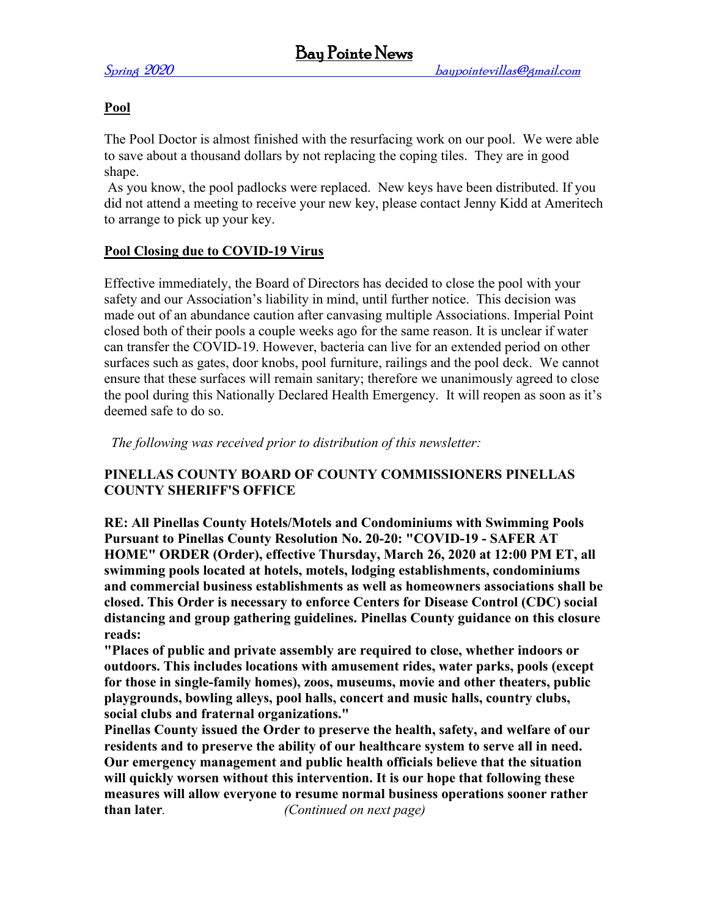# **Pool**

The Pool Doctor is almost finished with the resurfacing work on our pool. We were able to save about a thousand dollars by not replacing the coping tiles. They are in good shape.

As you know, the pool padlocks were replaced. New keys have been distributed. If you did not attend a meeting to receive your new key, please contact Jenny Kidd at Ameritech to arrange to pick up your key.

# **Pool Closing due to COVID-19 Virus**

Effective immediately, the Board of Directors has decided to close the pool with your safety and our Association's liability in mind, until further notice. This decision was made out of an abundance caution after canvasing multiple Associations. Imperial Point closed both of their pools a couple weeks ago for the same reason. It is unclear if water can transfer the COVID-19. However, bacteria can live for an extended period on other surfaces such as gates, door knobs, pool furniture, railings and the pool deck. We cannot ensure that these surfaces will remain sanitary; therefore we unanimously agreed to close the pool during this Nationally Declared Health Emergency. It will reopen as soon as it's deemed safe to do so.

*The following was received prior to distribution of this newsletter:*

# **PINELLAS COUNTY BOARD OF COUNTY COMMISSIONERS PINELLAS COUNTY SHERIFF'S OFFICE**

**RE: All Pinellas County Hotels/Motels and Condominiums with Swimming Pools Pursuant to Pinellas County Resolution No. 20-20: "COVID-19 - SAFER AT HOME" ORDER (Order), effective Thursday, March 26, 2020 at 12:00 PM ET, all swimming pools located at hotels, motels, lodging establishments, condominiums and commercial business establishments as well as homeowners associations shall be closed. This Order is necessary to enforce Centers for Disease Control (CDC) social distancing and group gathering guidelines. Pinellas County guidance on this closure reads:**

**"Places of public and private assembly are required to close, whether indoors or outdoors. This includes locations with amusement rides, water parks, pools (except for those in single-family homes), zoos, museums, movie and other theaters, public playgrounds, bowling alleys, pool halls, concert and music halls, country clubs, social clubs and fraternal organizations."**

**Pinellas County issued the Order to preserve the health, safety, and welfare of our residents and to preserve the ability of our healthcare system to serve all in need. Our emergency management and public health officials believe that the situation will quickly worsen without this intervention. It is our hope that following these measures will allow everyone to resume normal business operations sooner rather than later***. (Continued on next page)*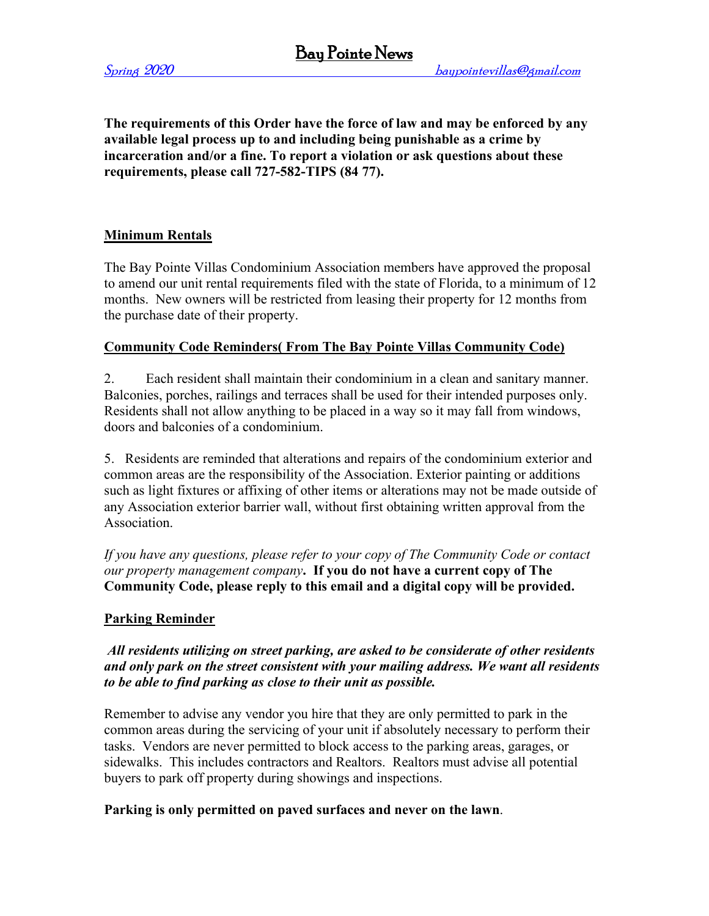**The requirements of this Order have the force of law and may be enforced by any available legal process up to and including being punishable as a crime by incarceration and/or a fine. To report a violation or ask questions about these requirements, please call 727-582-TIPS (84 77).**

# **Minimum Rentals**

The Bay Pointe Villas Condominium Association members have approved the proposal to amend our unit rental requirements filed with the state of Florida, to a minimum of 12 months. New owners will be restricted from leasing their property for 12 months from the purchase date of their property.

# **Community Code Reminders( From The Bay Pointe Villas Community Code)**

2. Each resident shall maintain their condominium in a clean and sanitary manner. Balconies, porches, railings and terraces shall be used for their intended purposes only. Residents shall not allow anything to be placed in a way so it may fall from windows, doors and balconies of a condominium.

5. Residents are reminded that alterations and repairs of the condominium exterior and common areas are the responsibility of the Association. Exterior painting or additions such as light fixtures or affixing of other items or alterations may not be made outside of any Association exterior barrier wall, without first obtaining written approval from the Association.

*If you have any questions, please refer to your copy of The Community Code or contact our property management company***. If you do not have a current copy of The Community Code, please reply to this email and a digital copy will be provided.**

# **Parking Reminder**

*All residents utilizing on street parking, are asked to be considerate of other residents and only park on the street consistent with your mailing address. We want all residents to be able to find parking as close to their unit as possible.*

Remember to advise any vendor you hire that they are only permitted to park in the common areas during the servicing of your unit if absolutely necessary to perform their tasks. Vendors are never permitted to block access to the parking areas, garages, or sidewalks. This includes contractors and Realtors. Realtors must advise all potential buyers to park off property during showings and inspections.

#### **Parking is only permitted on paved surfaces and never on the lawn**.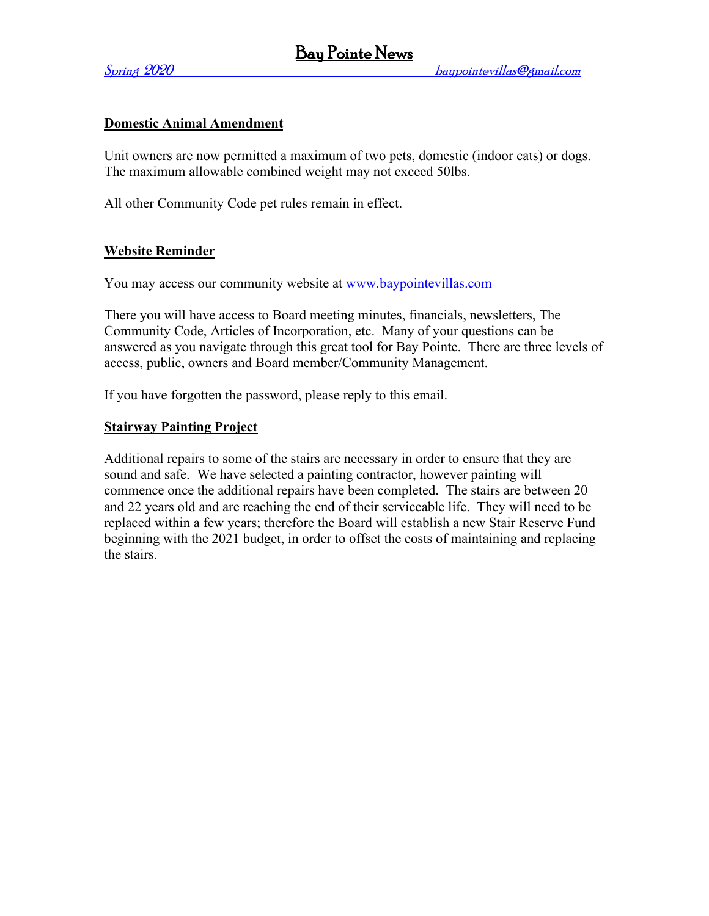### **Domestic Animal Amendment**

Unit owners are now permitted a maximum of two pets, domestic (indoor cats) or dogs. The maximum allowable combined weight may not exceed 50lbs.

All other Community Code pet rules remain in effect.

### **Website Reminder**

You may access our community website at [www.baypointevillas.com](http://www.baypointevillas.com/)

There you will have access to Board meeting minutes, financials, newsletters, The Community Code, Articles of Incorporation, etc. Many of your questions can be answered as you navigate through this great tool for Bay Pointe. There are three levels of access, public, owners and Board member/Community Management.

If you have forgotten the password, please reply to this email.

#### **Stairway Painting Project**

Additional repairs to some of the stairs are necessary in order to ensure that they are sound and safe. We have selected a painting contractor, however painting will commence once the additional repairs have been completed. The stairs are between 20 and 22 years old and are reaching the end of their serviceable life. They will need to be replaced within a few years; therefore the Board will establish a new Stair Reserve Fund beginning with the 2021 budget, in order to offset the costs of maintaining and replacing the stairs.